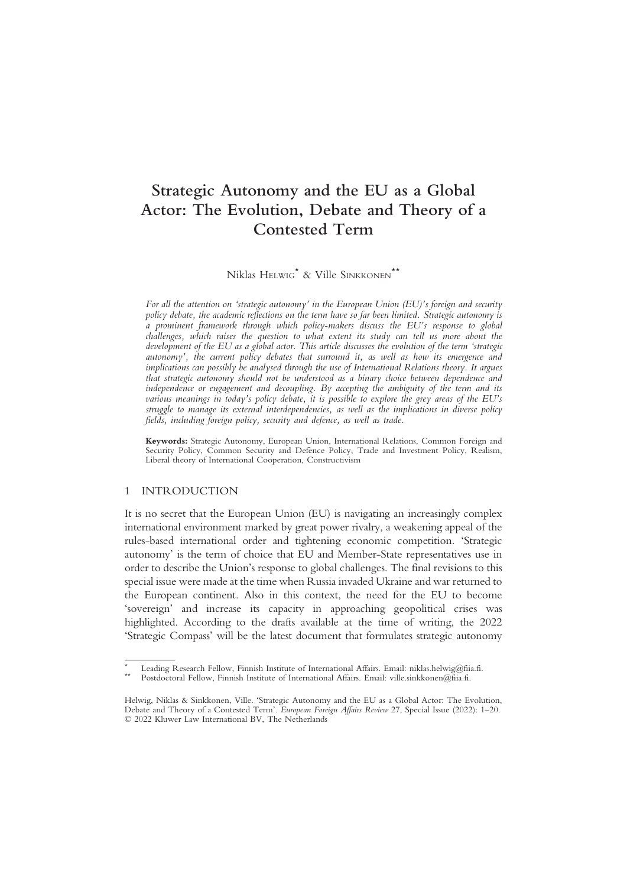# Strategic Autonomy and the EU as a Global Actor: The Evolution, Debate and Theory of a Contested Term

Niklas HELWIG\* & Ville SINKKONEN\*\*

For all the attention on 'strategic autonomy' in the European Union (EU)'s foreign and security policy debate, the academic reflections on the term have so far been limited. Strategic autonomy is a prominent framework through which policy-makers discuss the EU's response to global challenges, which raises the question to what extent its study can tell us more about the development of the EU as a global actor. This article discusses the evolution of the term 'strategic autonomy', the current policy debates that surround it, as well as how its emergence and implications can possibly be analysed through the use of International Relations theory. It argues that strategic autonomy should not be understood as a binary choice between dependence and independence or engagement and decoupling. By accepting the ambiguity of the term and its various meanings in today's policy debate, it is possible to explore the grey areas of the EU's struggle to manage its external interdependencies, as well as the implications in diverse policy fields, including foreign policy, security and defence, as well as trade.

Keywords: Strategic Autonomy, European Union, International Relations, Common Foreign and Security Policy, Common Security and Defence Policy, Trade and Investment Policy, Realism, Liberal theory of International Cooperation, Constructivism

### 1 INTRODUCTION

It is no secret that the European Union (EU) is navigating an increasingly complex international environment marked by great power rivalry, a weakening appeal of the rules-based international order and tightening economic competition. 'Strategic autonomy' is the term of choice that EU and Member-State representatives use in order to describe the Union's response to global challenges. The final revisions to this special issue were made at the time when Russia invaded Ukraine and war returned to the European continent. Also in this context, the need for the EU to become 'sovereign' and increase its capacity in approaching geopolitical crises was highlighted. According to the drafts available at the time of writing, the 2022 'Strategic Compass' will be the latest document that formulates strategic autonomy

Leading Research Fellow, Finnish Institute of International Affairs. Email: niklas.helwig@fiia.fi.<br>Postdoctoral Fellow, Finnish Institute of International Affairs. Email: ville.sinkkonen@fiia.fi.

Helwig, Niklas & Sinkkonen, Ville. 'Strategic Autonomy and the EU as a Global Actor: The Evolution, Debate and Theory of a Contested Term'. European Foreign Affairs Review 27, Special Issue (2022): 1–20. © 2022 Kluwer Law International BV, The Netherlands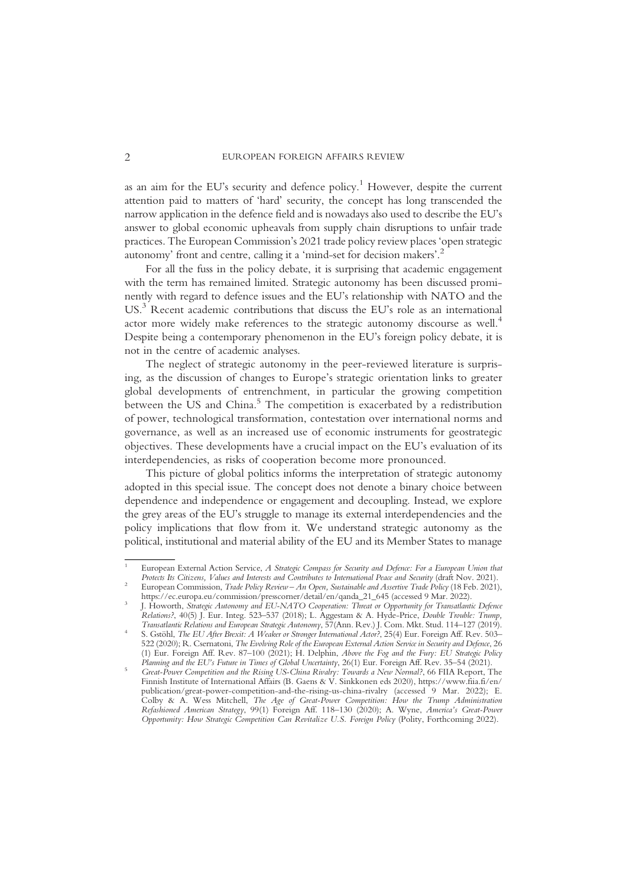as an aim for the EU's security and defence policy.<sup>1</sup> However, despite the current attention paid to matters of 'hard' security, the concept has long transcended the narrow application in the defence field and is nowadays also used to describe the EU's answer to global economic upheavals from supply chain disruptions to unfair trade practices. The European Commission's 2021 trade policy review places 'open strategic autonomy' front and centre, calling it a 'mind-set for decision makers'. 2

For all the fuss in the policy debate, it is surprising that academic engagement with the term has remained limited. Strategic autonomy has been discussed prominently with regard to defence issues and the EU's relationship with NATO and the US.<sup>3</sup> Recent academic contributions that discuss the EU's role as an international actor more widely make references to the strategic autonomy discourse as well.<sup>4</sup> Despite being a contemporary phenomenon in the EU's foreign policy debate, it is not in the centre of academic analyses.

The neglect of strategic autonomy in the peer-reviewed literature is surprising, as the discussion of changes to Europe's strategic orientation links to greater global developments of entrenchment, in particular the growing competition between the US and China.<sup>5</sup> The competition is exacerbated by a redistribution of power, technological transformation, contestation over international norms and governance, as well as an increased use of economic instruments for geostrategic objectives. These developments have a crucial impact on the EU's evaluation of its interdependencies, as risks of cooperation become more pronounced.

This picture of global politics informs the interpretation of strategic autonomy adopted in this special issue. The concept does not denote a binary choice between dependence and independence or engagement and decoupling. Instead, we explore the grey areas of the EU's struggle to manage its external interdependencies and the policy implications that flow from it. We understand strategic autonomy as the political, institutional and material ability of the EU and its Member States to manage

<sup>&</sup>lt;sup>1</sup> European External Action Service, *A Strategic Compass for Security and Defence: For a European Union that Protects Its Citizens, Values and Interests and Contributes to International Peace and Security (draft Nov. 202* 

<sup>&</sup>lt;sup>2</sup> European Commission, *Trade Policy Review – An Open, Sustainable and Assertive Trade Policy* (18 Feb. 2021), https://ec.europa.eu/commission/presscorner/detail/en/qanda\_21\_645 (accessed 9 Mar. 2022).

J. Howorth, Strategic Autonomy and EU-NATO Cooperation: Threat or Opportunity for Transatlantic Defence Relations?, 40(5) J. Eur. Integ. 523–537 (2018); L. Aggestam & A. Hyde-Price, Double Trouble: Trump,<br>Transatlantic Relations and European Strategic Autonomy, 57(Ann. Rev.) J. Com. Mkt. Stud. 114–127 (2019).

S. Gstöhl, The EU After Brexit: A Weaker or Stronger International Actor?, 25(4) Eur. Foreign Aff. Rev. 503– 522 (2020); R. Csernatoni, The Evolving Role of the European External Action Service in Security and Defence, 26 (1) Eur. Foreign Aff. Rev. 87–100 (2021); H. Delphin, Above the Fog and the Fury: EU Strategic Policy

Planning and the EU's Future in Times of Global Uncertainty, 26(1) Eur. Foreign Aff. Rev. 35–54 (2021). <sup>5</sup> Great-Power Competition and the Rising US-China Rivalry: Towards a New Normal?, 66 FIIA Report, The Finnish Institute of International Affairs (B. Gaens & V. Sinkkonen eds 2020), https://www.fiia.fi/en/ publication/great-power-competition-and-the-rising-us-china-rivalry (accessed 9 Mar. 2022); E. Colby & A. Wess Mitchell, The Age of Great-Power Competition: How the Trump Administration Refashioned American Strategy, 99(1) Foreign Aff. 118–130 (2020); A. Wyne, America's Great-Power Opportunity: How Strategic Competition Can Revitalize U.S. Foreign Policy (Polity, Forthcoming 2022).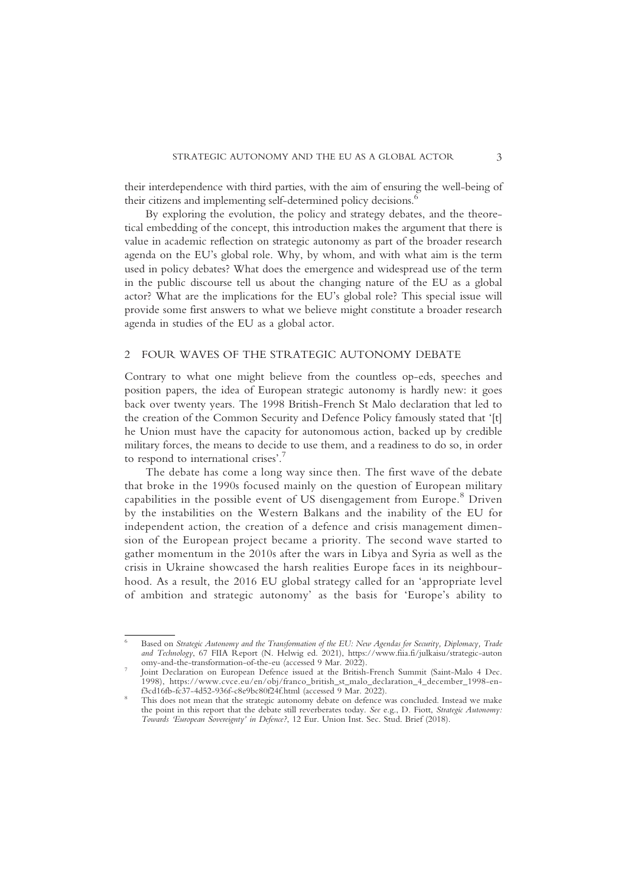their interdependence with third parties, with the aim of ensuring the well-being of their citizens and implementing self-determined policy decisions.<sup>6</sup>

By exploring the evolution, the policy and strategy debates, and the theoretical embedding of the concept, this introduction makes the argument that there is value in academic reflection on strategic autonomy as part of the broader research agenda on the EU's global role. Why, by whom, and with what aim is the term used in policy debates? What does the emergence and widespread use of the term in the public discourse tell us about the changing nature of the EU as a global actor? What are the implications for the EU's global role? This special issue will provide some first answers to what we believe might constitute a broader research agenda in studies of the EU as a global actor.

#### 2 FOUR WAVES OF THE STRATEGIC AUTONOMY DEBATE

Contrary to what one might believe from the countless op-eds, speeches and position papers, the idea of European strategic autonomy is hardly new: it goes back over twenty years. The 1998 British-French St Malo declaration that led to the creation of the Common Security and Defence Policy famously stated that '[t] he Union must have the capacity for autonomous action, backed up by credible military forces, the means to decide to use them, and a readiness to do so, in order to respond to international crises'. 7

The debate has come a long way since then. The first wave of the debate that broke in the 1990s focused mainly on the question of European military capabilities in the possible event of US disengagement from Europe.<sup>8</sup> Driven by the instabilities on the Western Balkans and the inability of the EU for independent action, the creation of a defence and crisis management dimension of the European project became a priority. The second wave started to gather momentum in the 2010s after the wars in Libya and Syria as well as the crisis in Ukraine showcased the harsh realities Europe faces in its neighbourhood. As a result, the 2016 EU global strategy called for an 'appropriate level of ambition and strategic autonomy' as the basis for 'Europe's ability to

Based on Strategic Autonomy and the Transformation of the EU: New Agendas for Security, Diplomacy, Trade and Technology, 67 FIIA Report (N. Helwig ed. 2021), https://www.fiia.fi/julkaisu/strategic-auton

Joint Declaration on European Defence issued at the British-French Summit (Saint-Malo 4 Dec. 1998), https://www.cvce.eu/en/obj/franco\_british\_st\_malo\_declaration\_4\_december\_1998-en-

<sup>&</sup>lt;sup>8</sup> This does not mean that the strategic autonomy debate on defence was concluded. Instead we make the point in this report that the debate still reverberates today. See e.g., D. Fiott, Strategic Autonomy: Towards 'European Sovereignty' in Defence?, 12 Eur. Union Inst. Sec. Stud. Brief (2018).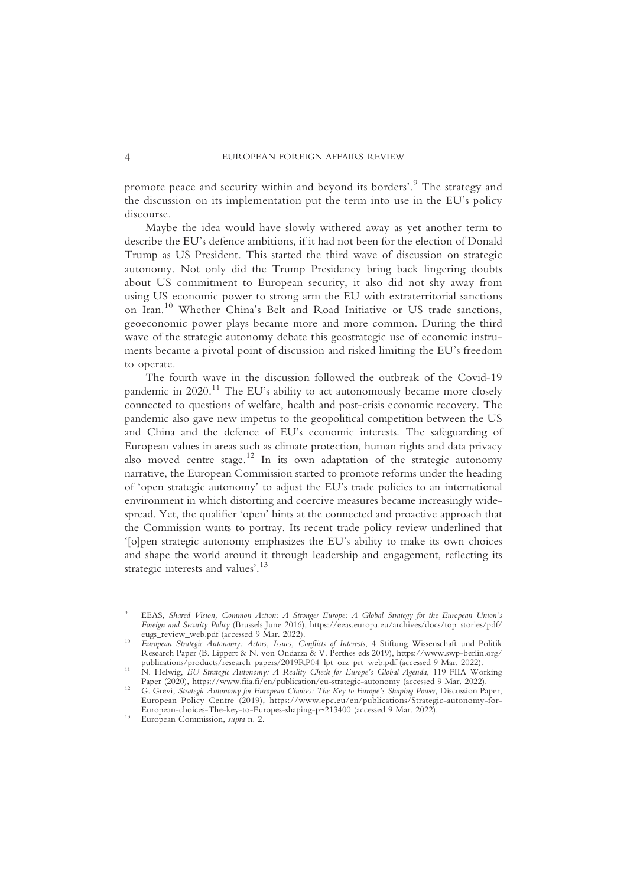promote peace and security within and beyond its borders'. <sup>9</sup> The strategy and the discussion on its implementation put the term into use in the EU's policy discourse.

Maybe the idea would have slowly withered away as yet another term to describe the EU's defence ambitions, if it had not been for the election of Donald Trump as US President. This started the third wave of discussion on strategic autonomy. Not only did the Trump Presidency bring back lingering doubts about US commitment to European security, it also did not shy away from using US economic power to strong arm the EU with extraterritorial sanctions on Iran.<sup>10</sup> Whether China's Belt and Road Initiative or US trade sanctions, geoeconomic power plays became more and more common. During the third wave of the strategic autonomy debate this geostrategic use of economic instruments became a pivotal point of discussion and risked limiting the EU's freedom to operate.

The fourth wave in the discussion followed the outbreak of the Covid-19 pandemic in  $2020$ .<sup>11</sup> The EU's ability to act autonomously became more closely connected to questions of welfare, health and post-crisis economic recovery. The pandemic also gave new impetus to the geopolitical competition between the US and China and the defence of EU's economic interests. The safeguarding of European values in areas such as climate protection, human rights and data privacy also moved centre stage.<sup>12</sup> In its own adaptation of the strategic autonomy narrative, the European Commission started to promote reforms under the heading of 'open strategic autonomy' to adjust the EU's trade policies to an international environment in which distorting and coercive measures became increasingly widespread. Yet, the qualifier 'open' hints at the connected and proactive approach that the Commission wants to portray. Its recent trade policy review underlined that '[o]pen strategic autonomy emphasizes the EU's ability to make its own choices and shape the world around it through leadership and engagement, reflecting its strategic interests and values'.<sup>13</sup>

<sup>9</sup> EEAS, Shared Vision, Common Action: A Stronger Europe: A Global Strategy for the European Union's Foreign and Security Policy (Brussels June 2016), https://eeas.europa.eu/archives/docs/top\_stories/pdf/<br>eugs\_review\_web.pdf (accessed 9 Mar. 2022).

<sup>&</sup>lt;sup>10</sup> European Strategic Autonomy: Actors, Issues, Conflicts of Interests, 4 Stiftung Wissenschaft und Politik Research Paper (B. Lippert & N. von Ondarza & V. Perthes eds 2019), https://www.swp-berlin.org/

publications/products/research\_papers/2019RP04\_lpt\_orz\_prt\_web.pdf (accessed 9 Mar. 2022).<br>
11 N. Helwig, EU Strategic Autonomy: A Reality Check for Europe's Global Agenda, 119 FIIA Working<br>
12 Paper (2020), https://www.fi

<sup>&</sup>lt;sup>12</sup> G. Grevi, *Strategic Autonomy for European Choices: The Key to Europe's Shaping Power*, Discussion Paper, European Policy Centre (2019), https://www.epc.eu/en/publications/Strategic-autonomy-for-European-choices-The-key-to-Europes-shaping-p~213400 (accessed 9 Mar. 2022).<br><sup>13</sup> European Commission, *supra* n. 2.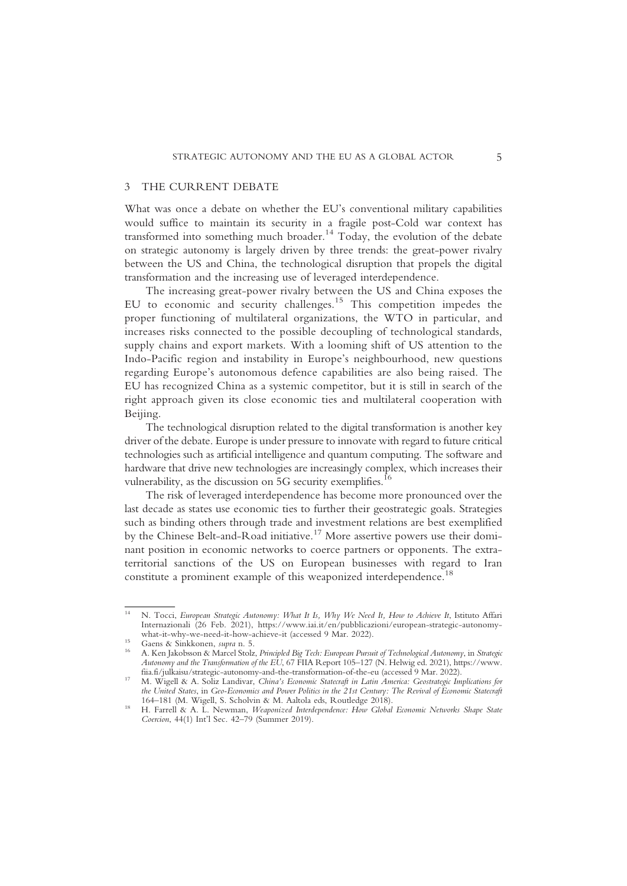#### 3 THE CURRENT DEBATE

What was once a debate on whether the EU's conventional military capabilities would suffice to maintain its security in a fragile post-Cold war context has transformed into something much broader.<sup>14</sup> Today, the evolution of the debate on strategic autonomy is largely driven by three trends: the great-power rivalry between the US and China, the technological disruption that propels the digital transformation and the increasing use of leveraged interdependence.

The increasing great-power rivalry between the US and China exposes the EU to economic and security challenges.<sup>15</sup> This competition impedes the proper functioning of multilateral organizations, the WTO in particular, and increases risks connected to the possible decoupling of technological standards, supply chains and export markets. With a looming shift of US attention to the Indo-Pacific region and instability in Europe's neighbourhood, new questions regarding Europe's autonomous defence capabilities are also being raised. The EU has recognized China as a systemic competitor, but it is still in search of the right approach given its close economic ties and multilateral cooperation with Beijing.

The technological disruption related to the digital transformation is another key driver of the debate. Europe is under pressure to innovate with regard to future critical technologies such as artificial intelligence and quantum computing. The software and hardware that drive new technologies are increasingly complex, which increases their vulnerability, as the discussion on 5G security exemplifies.<sup>16</sup>

The risk of leveraged interdependence has become more pronounced over the last decade as states use economic ties to further their geostrategic goals. Strategies such as binding others through trade and investment relations are best exemplified by the Chinese Belt-and-Road initiative.<sup>17</sup> More assertive powers use their dominant position in economic networks to coerce partners or opponents. The extraterritorial sanctions of the US on European businesses with regard to Iran constitute a prominent example of this weaponized interdependence.<sup>18</sup>

N. Tocci, European Strategic Autonomy: What It Is, Why We Need It, How to Achieve It, Istituto Affari Internazionali (26 Feb. 2021), https://www.iai.it/en/pubblicazioni/european-strategic-autonomy-

<sup>&</sup>lt;sup>15</sup> Gaens & Sinkkonen, *supra* n. 5.<br><sup>16</sup> A. Ken Jakobsson & Marcel Stolz, *Principled Big Tech: European Pursuit of Technological Autonomy*, in Strategic Autonomy and the Transformation of the EU, 67 FIIA Report 105–127 (N. Helwig ed. 2021), https://www.<br>fiia.fi/julkaisu/strategic-autonomy-and-the-transformation-of-the-eu (accessed 9 Mar. 2022).

fiia.fi/julkaisu/strategic-autonomy-and-the-transformation-of-the-eu (accessed 9 Mar. 2022). <sup>17</sup> M. Wigell & A. Soliz Landivar, China's Economic Statecraft in Latin America: Geostrategic Implications for the United States, in Geo-Economics and Power Politics in the 21st Century: The Revival of Economic Statecraft 164–181 (M. Wigell, S. Scholvin & M. Aaltola eds, Routledge 2018).

<sup>&</sup>lt;sup>18</sup> H. Farrell & A. L. Newman, Weaponized Interdependence: How Global Economic Networks Shape State Coercion, 44(1) Int'l Sec. 42–79 (Summer 2019).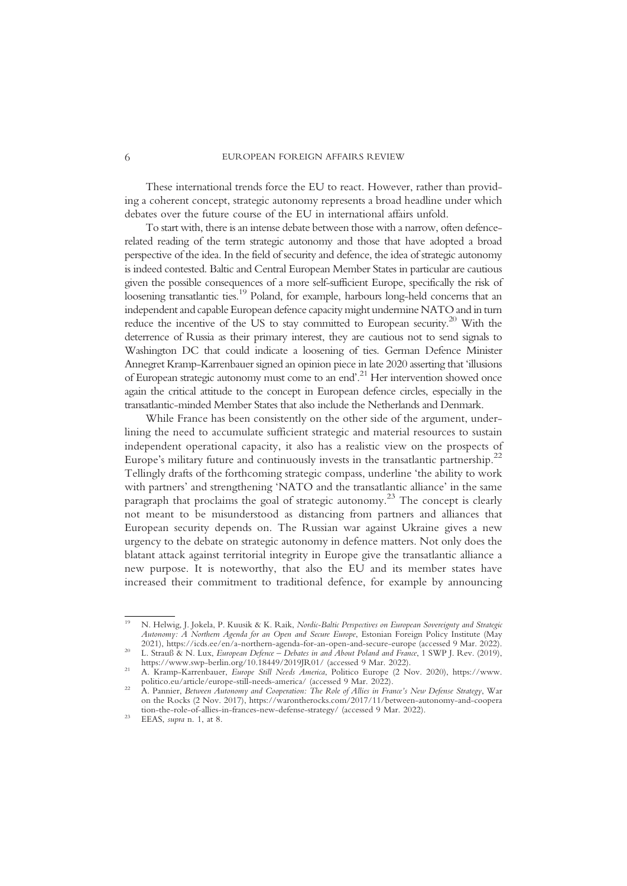These international trends force the EU to react. However, rather than providing a coherent concept, strategic autonomy represents a broad headline under which debates over the future course of the EU in international affairs unfold.

To start with, there is an intense debate between those with a narrow, often defencerelated reading of the term strategic autonomy and those that have adopted a broad perspective of the idea. In the field of security and defence, the idea of strategic autonomy is indeed contested. Baltic and Central European Member States in particular are cautious given the possible consequences of a more self-sufficient Europe, specifically the risk of loosening transatlantic ties.<sup>19</sup> Poland, for example, harbours long-held concerns that an independent and capable European defence capacity might undermine NATO and in turn reduce the incentive of the US to stay committed to European security.20 With the deterrence of Russia as their primary interest, they are cautious not to send signals to Washington DC that could indicate a loosening of ties. German Defence Minister Annegret Kramp-Karrenbauer signed an opinion piece in late 2020 asserting that 'illusions of European strategic autonomy must come to an end'. <sup>21</sup> Her intervention showed once again the critical attitude to the concept in European defence circles, especially in the transatlantic-minded Member States that also include the Netherlands and Denmark.

While France has been consistently on the other side of the argument, underlining the need to accumulate sufficient strategic and material resources to sustain independent operational capacity, it also has a realistic view on the prospects of Europe's military future and continuously invests in the transatlantic partnership.<sup>22</sup> Tellingly drafts of the forthcoming strategic compass, underline 'the ability to work with partners' and strengthening 'NATO and the transatlantic alliance' in the same paragraph that proclaims the goal of strategic autonomy.<sup>23</sup> The concept is clearly not meant to be misunderstood as distancing from partners and alliances that European security depends on. The Russian war against Ukraine gives a new urgency to the debate on strategic autonomy in defence matters. Not only does the blatant attack against territorial integrity in Europe give the transatlantic alliance a new purpose. It is noteworthy, that also the EU and its member states have increased their commitment to traditional defence, for example by announcing

<sup>&</sup>lt;sup>19</sup> N. Helwig, J. Jokela, P. Kuusik & K. Raik, Nordic-Baltic Perspectives on European Sovereignty and Strategic Autonomy: A Northern Agenda for an Open and Secure Europe, Estonian Foreign Policy Institute (May 2021), https://icds.ee/en/a-northern-agenda-for-an-open-and-secure-europe (accessed 9 Mar. 2022).

<sup>20</sup> L. Strauß & N. Lux, *European Defence* – Debates in and About Poland and France, 1 SWP J. Rev. (2019), https://www.swp-berlin.org/10.18449/2019JR01/ (accessed 9 Mar. 2022).

<sup>&</sup>lt;sup>21</sup> A. Kramp-Karrenbauer, *Europe Still Needs America*, Politico Europe (2 Nov. 2020), https://www.<br>politico.eu/article/europe-still-needs-america/ (accessed 9 Mar. 2022).

<sup>&</sup>lt;sup>22</sup> A. Pannier, Between Autonomy and Cooperation: The Role of Allies in France's New Defense Strategy, War on the Rocks (2 Nov. 2017), https://warontherocks.com/2017/11/between-autonomy-and-coopera tion-the-role-of-allies-in-frances-new-defense-strategy/ (accessed 9 Mar. 2022). <sup>23</sup> EEAS, supra n. 1, at 8.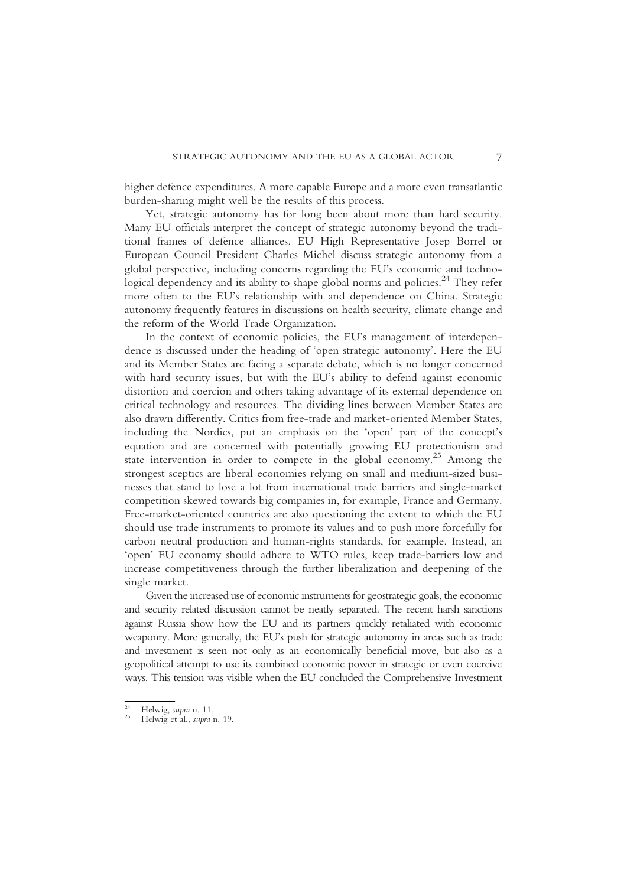higher defence expenditures. A more capable Europe and a more even transatlantic burden-sharing might well be the results of this process.

Yet, strategic autonomy has for long been about more than hard security. Many EU officials interpret the concept of strategic autonomy beyond the traditional frames of defence alliances. EU High Representative Josep Borrel or European Council President Charles Michel discuss strategic autonomy from a global perspective, including concerns regarding the EU's economic and technological dependency and its ability to shape global norms and policies.<sup>24</sup> They refer more often to the EU's relationship with and dependence on China. Strategic autonomy frequently features in discussions on health security, climate change and the reform of the World Trade Organization.

In the context of economic policies, the EU's management of interdependence is discussed under the heading of 'open strategic autonomy'. Here the EU and its Member States are facing a separate debate, which is no longer concerned with hard security issues, but with the EU's ability to defend against economic distortion and coercion and others taking advantage of its external dependence on critical technology and resources. The dividing lines between Member States are also drawn differently. Critics from free-trade and market-oriented Member States, including the Nordics, put an emphasis on the 'open' part of the concept's equation and are concerned with potentially growing EU protectionism and state intervention in order to compete in the global economy.<sup>25</sup> Among the strongest sceptics are liberal economies relying on small and medium-sized businesses that stand to lose a lot from international trade barriers and single-market competition skewed towards big companies in, for example, France and Germany. Free-market-oriented countries are also questioning the extent to which the EU should use trade instruments to promote its values and to push more forcefully for carbon neutral production and human-rights standards, for example. Instead, an 'open' EU economy should adhere to WTO rules, keep trade-barriers low and increase competitiveness through the further liberalization and deepening of the single market.

Given the increased use of economic instruments for geostrategic goals, the economic and security related discussion cannot be neatly separated. The recent harsh sanctions against Russia show how the EU and its partners quickly retaliated with economic weaponry. More generally, the EU's push for strategic autonomy in areas such as trade and investment is seen not only as an economically beneficial move, but also as a geopolitical attempt to use its combined economic power in strategic or even coercive ways. This tension was visible when the EU concluded the Comprehensive Investment

<sup>&</sup>lt;sup>24</sup> Helwig, *supra* n. 11.<br><sup>25</sup> Helwig et al., *supra* n. 19.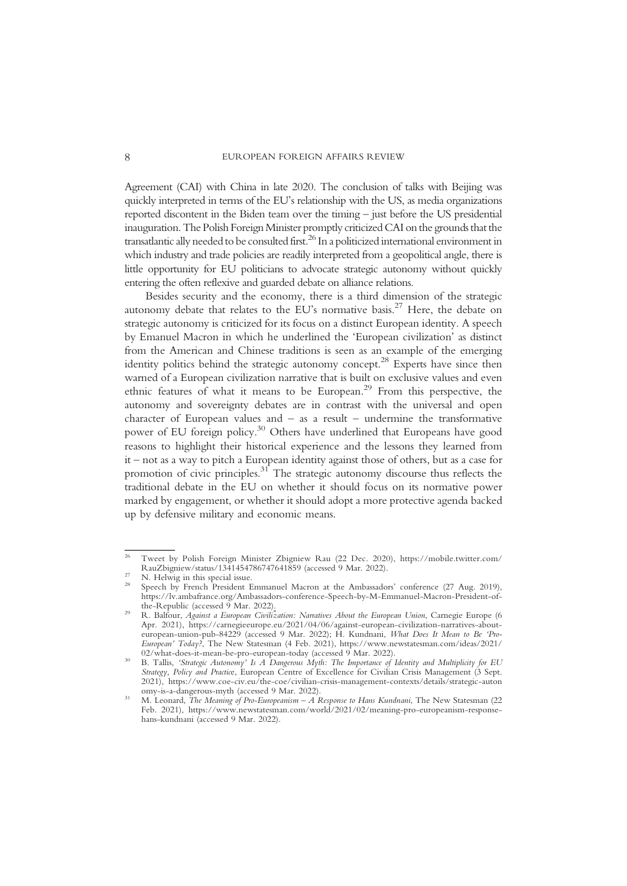Agreement (CAI) with China in late 2020. The conclusion of talks with Beijing was quickly interpreted in terms of the EU's relationship with the US, as media organizations reported discontent in the Biden team over the timing – just before the US presidential inauguration. The Polish Foreign Minister promptly criticized CAI on the grounds that the transatlantic ally needed to be consulted first.26 In a politicized international environment in which industry and trade policies are readily interpreted from a geopolitical angle, there is little opportunity for EU politicians to advocate strategic autonomy without quickly entering the often reflexive and guarded debate on alliance relations.

Besides security and the economy, there is a third dimension of the strategic autonomy debate that relates to the EU's normative basis.<sup>27</sup> Here, the debate on strategic autonomy is criticized for its focus on a distinct European identity. A speech by Emanuel Macron in which he underlined the 'European civilization' as distinct from the American and Chinese traditions is seen as an example of the emerging identity politics behind the strategic autonomy concept.<sup>28</sup> Experts have since then warned of a European civilization narrative that is built on exclusive values and even ethnic features of what it means to be European.29 From this perspective, the autonomy and sovereignty debates are in contrast with the universal and open character of European values and – as a result – undermine the transformative power of EU foreign policy.<sup>30</sup> Others have underlined that Europeans have good reasons to highlight their historical experience and the lessons they learned from it – not as a way to pitch a European identity against those of others, but as a case for promotion of civic principles.31 The strategic autonomy discourse thus reflects the traditional debate in the EU on whether it should focus on its normative power marked by engagement, or whether it should adopt a more protective agenda backed up by defensive military and economic means.

<sup>26</sup> Tweet by Polish Foreign Minister Zbigniew Rau (22 Dec. 2020), https://mobile.twitter.com/ RauZbigniew/status/1341454786747641859 (accessed 9 Mar. 2022).<br><sup>27</sup> N. Helwig in this special issue.<br><sup>28</sup> Speech by French President Emmanuel Macron at the Ambassadors' conference (27 Aug. 2019),

https://lv.ambafrance.org/Ambassadors-conference-Speech-by-M-Emmanuel-Macron-President-of-

<sup>&</sup>lt;sup>29</sup> R. Balfour, Against a European Civilization: Narratives About the European Union, Carnegie Europe (6 Apr. 2021), https://carnegieeurope.eu/2021/04/06/against-european-civilization-narratives-abouteuropean-union-pub-84229 (accessed 9 Mar. 2022); H. Kundnani, What Does It Mean to Be 'Pro-European' Today?, The New Statesman (4 Feb. 2021), https://www.newstatesman.com/ideas/2021/02/what-does-it-mean-be-pro-european-today (accessed 9 Mar. 2022).

B. Tallis, 'Strategic Autonomy' Is A Dangerous Myth: The Importance of Identity and Multiplicity for EU Strategy, Policy and Practice, European Centre of Excellence for Civilian Crisis Management (3 Sept. 2021), https://www.coe-civ.eu/the-coe/civilian-crisis-management-contexts/details/strategic-auton omy-is-a-dangerous-myth (accessed 9 Mar. 2022).

<sup>&</sup>lt;sup>31</sup> M. Leonard, *The Meaning of Pro-Europeanism – A Response to Hans Kundnani*, The New Statesman (22) Feb. 2021), https://www.newstatesman.com/world/2021/02/meaning-pro-europeanism-responsehans-kundnani (accessed 9 Mar. 2022).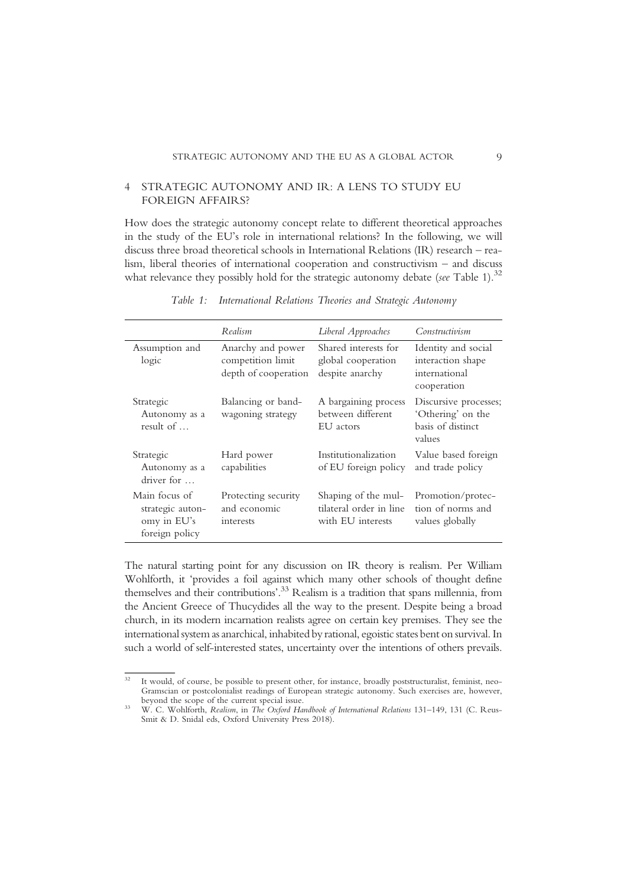## 4 STRATEGIC AUTONOMY AND IR: A LENS TO STUDY EU FOREIGN AFFAIRS?

How does the strategic autonomy concept relate to different theoretical approaches in the study of the EU's role in international relations? In the following, we will discuss three broad theoretical schools in International Relations (IR) research – realism, liberal theories of international cooperation and constructivism – and discuss what relevance they possibly hold for the strategic autonomy debate (see Table 1). $^{32}$ 

|                                                                    | Realism                                                        | Liberal Approaches                                                  | Constructivism                                                            |
|--------------------------------------------------------------------|----------------------------------------------------------------|---------------------------------------------------------------------|---------------------------------------------------------------------------|
| Assumption and<br>logic                                            | Anarchy and power<br>competition limit<br>depth of cooperation | Shared interests for<br>global cooperation<br>despite anarchy       | Identity and social<br>interaction shape<br>international<br>cooperation  |
| Strategic<br>Autonomy as a<br>result of                            | Balancing or band-<br>wagoning strategy                        | A bargaining process<br>between different<br>EU actors              | Discursive processes;<br>'Othering' on the<br>basis of distinct<br>values |
| Strategic<br>Autonomy as a<br>driver for                           | Hard power<br>capabilities                                     | Institutionalization<br>of EU foreign policy                        | Value based foreign<br>and trade policy                                   |
| Main focus of<br>strategic auton-<br>omy in EU's<br>foreign policy | Protecting security<br>and economic<br>interests               | Shaping of the mul-<br>tilateral order in line<br>with EU interests | Promotion/protec-<br>tion of norms and<br>values globally                 |

Table 1: International Relations Theories and Strategic Autonomy

The natural starting point for any discussion on IR theory is realism. Per William Wohlforth, it 'provides a foil against which many other schools of thought define themselves and their contributions'. <sup>33</sup> Realism is a tradition that spans millennia, from the Ancient Greece of Thucydides all the way to the present. Despite being a broad church, in its modern incarnation realists agree on certain key premises. They see the international system as anarchical, inhabited by rational, egoistic states bent on survival. In such a world of self-interested states, uncertainty over the intentions of others prevails.

<sup>&</sup>lt;sup>32</sup> It would, of course, be possible to present other, for instance, broadly poststructuralist, feminist, neo-Gramscian or postcolonialist readings of European strategic autonomy. Such exercises are, however,

<sup>&</sup>lt;sup>33</sup> W. C. Wohlforth, Realism, in The Oxford Handbook of International Relations 131–149, 131 (C. Reus-Smit & D. Snidal eds, Oxford University Press 2018).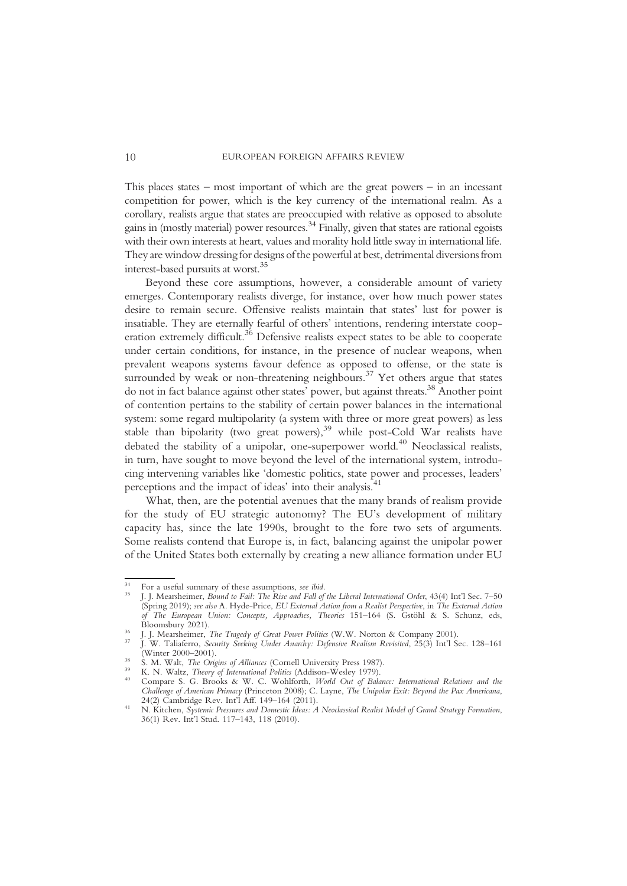This places states – most important of which are the great powers – in an incessant competition for power, which is the key currency of the international realm. As a corollary, realists argue that states are preoccupied with relative as opposed to absolute gains in (mostly material) power resources.<sup>34</sup> Finally, given that states are rational egoists with their own interests at heart, values and morality hold little sway in international life. They are window dressing for designs of the powerful at best, detrimental diversions from interest-based pursuits at worst.35

Beyond these core assumptions, however, a considerable amount of variety emerges. Contemporary realists diverge, for instance, over how much power states desire to remain secure. Offensive realists maintain that states' lust for power is insatiable. They are eternally fearful of others' intentions, rendering interstate cooperation extremely difficult.<sup>36</sup> Defensive realists expect states to be able to cooperate under certain conditions, for instance, in the presence of nuclear weapons, when prevalent weapons systems favour defence as opposed to offense, or the state is surrounded by weak or non-threatening neighbours.<sup>37</sup> Yet others argue that states do not in fact balance against other states' power, but against threats.38 Another point of contention pertains to the stability of certain power balances in the international system: some regard multipolarity (a system with three or more great powers) as less stable than bipolarity (two great powers),<sup>39</sup> while post-Cold War realists have debated the stability of a unipolar, one-superpower world.<sup>40</sup> Neoclassical realists, in turn, have sought to move beyond the level of the international system, introducing intervening variables like 'domestic politics, state power and processes, leaders' perceptions and the impact of ideas' into their analysis.<sup>41</sup>

What, then, are the potential avenues that the many brands of realism provide for the study of EU strategic autonomy? The EU's development of military capacity has, since the late 1990s, brought to the fore two sets of arguments. Some realists contend that Europe is, in fact, balancing against the unipolar power of the United States both externally by creating a new alliance formation under EU

<sup>&</sup>lt;sup>34</sup> For a useful summary of these assumptions, *see ibid.*<br><sup>35</sup> J. J. Mearsheimer, *Bound to Fail: The Rise and Fall of the Liberal International Order*, 43(4) Int'l Sec. 7–50 (Spring 2019); see also A. Hyde-Price, EU External Action from a Realist Perspective, in The External Action of The European Union: Concepts, Approaches, Theories 151–164 (S. Gstöhl & S. Schunz, eds,

<sup>&</sup>lt;sup>36</sup> J. J. Mearsheimer, *The Tragedy of Great Power Politics* (W.W. Norton & Company 2001).<br><sup>37</sup> J. W. Taliaferro, *Security Seeking Under Anarchy: Defensive Realism Revisited*, 25(3) Int'l Sec. 128–161<br>(Winter 2000–2001)

<sup>&</sup>lt;sup>38</sup> S. M. Walt, *The Origins of Alliances* (Cornell University Press 1987).<br><sup>39</sup> K. N. Waltz, *Theory of International Politics* (Addison-Wesley 1979).<br><sup>40</sup> Compare S. G. Brooks & W. C. Wohlforth, *World Out of Balance: I* Challenge of American Primacy (Princeton 2008); C. Layne, The Unipolar Exit: Beyond the Pax Americana, 24(2) Cambridge Rev. Int'l Aff. 149–164 (2011).

<sup>&</sup>lt;sup>41</sup> N. Kitchen, Systemic Pressures and Domestic Ideas: A Neoclassical Realist Model of Grand Strategy Formation, 36(1) Rev. Int'l Stud. 117–143, 118 (2010).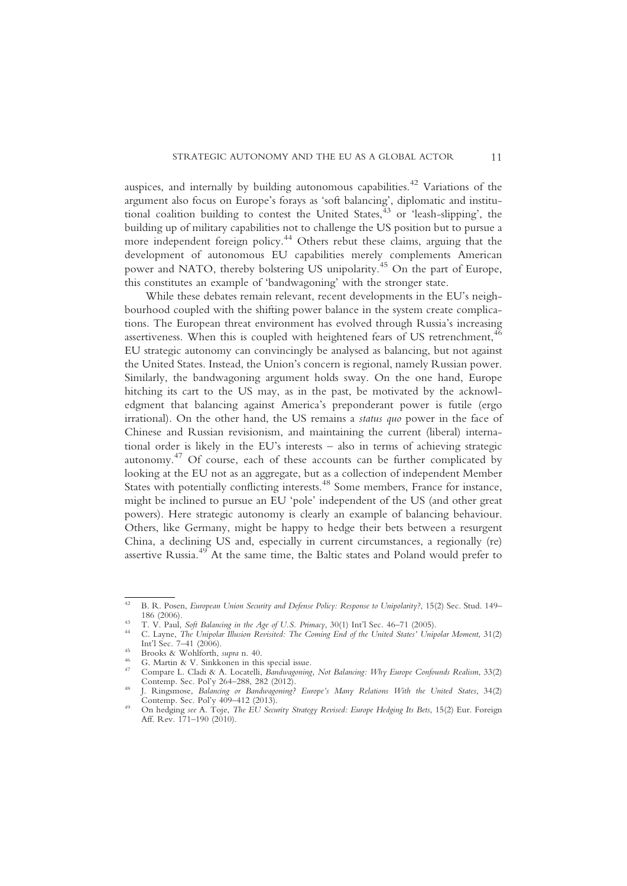auspices, and internally by building autonomous capabilities.<sup>42</sup> Variations of the argument also focus on Europe's forays as 'soft balancing', diplomatic and institutional coalition building to contest the United States, <sup>43</sup> or 'leash-slipping', the building up of military capabilities not to challenge the US position but to pursue a more independent foreign policy.<sup>44</sup> Others rebut these claims, arguing that the development of autonomous EU capabilities merely complements American power and NATO, thereby bolstering US unipolarity.45 On the part of Europe, this constitutes an example of 'bandwagoning' with the stronger state.

While these debates remain relevant, recent developments in the EU's neighbourhood coupled with the shifting power balance in the system create complications. The European threat environment has evolved through Russia's increasing assertiveness. When this is coupled with heightened fears of US retrenchment,  $46$ EU strategic autonomy can convincingly be analysed as balancing, but not against the United States. Instead, the Union's concern is regional, namely Russian power. Similarly, the bandwagoning argument holds sway. On the one hand, Europe hitching its cart to the US may, as in the past, be motivated by the acknowledgment that balancing against America's preponderant power is futile (ergo irrational). On the other hand, the US remains a status quo power in the face of Chinese and Russian revisionism, and maintaining the current (liberal) international order is likely in the EU's interests – also in terms of achieving strategic autonomy.<sup>47</sup> Of course, each of these accounts can be further complicated by looking at the EU not as an aggregate, but as a collection of independent Member States with potentially conflicting interests.<sup>48</sup> Some members, France for instance, might be inclined to pursue an EU 'pole' independent of the US (and other great powers). Here strategic autonomy is clearly an example of balancing behaviour. Others, like Germany, might be happy to hedge their bets between a resurgent China, a declining US and, especially in current circumstances, a regionally (re) assertive Russia.<sup>49</sup> At the same time, the Baltic states and Poland would prefer to

- 
- 
- Interaction Sec. 7–41 (2006). 45 Brooks & Wohlforth, *supra* n. 40.<br>
<sup>46</sup> G. Martin & V. Sinkkonen in this special issue.<br>
<sup>47</sup> Compare L. Cladi & A. Locatelli, *Bandwagoning, Not Balancing: Why Europe Confounds Realism*,
- <sup>48</sup> J. Ringsmose, *Balancing or Bandwagoning? Europe's Many Relations With the United States*, 34(2) Contemp. Sec. Pol'y 409–412 (2013).

<sup>&</sup>lt;sup>42</sup> B. R. Posen, *European Union Security and Defense Policy: Response to Unipolarity?*, 15(2) Sec. Stud. 149–<br>186 (2006).

<sup>13</sup> T. V. Paul, Soft Balancing in the Age of U.S. Primacy, 30(1) Int'l Sec. 46–71 (2005).<br>
44 C. Layne, *The Unipolar Illusion Revisited: The Coming End of the United States' Unipolar Moment*, 31(2)<br>
1nt'l Sec. 7–41 (2006).

<sup>&</sup>lt;sup>49</sup> On hedging see A. Toje, *The EU Security Strategy Revised: Europe Hedging Its Bets*, 15(2) Eur. Foreign Aff. Rev. 171–190 (2010).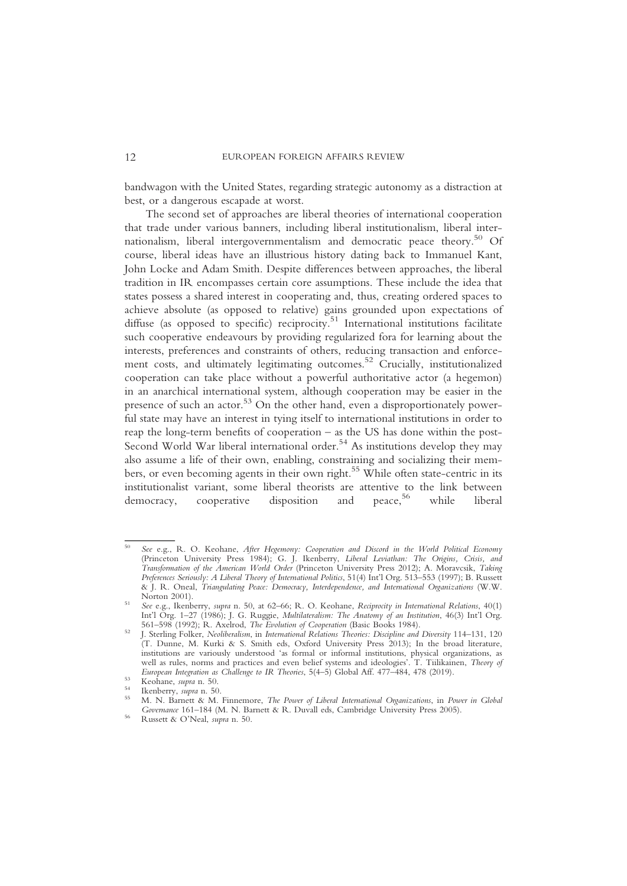bandwagon with the United States, regarding strategic autonomy as a distraction at best, or a dangerous escapade at worst.

The second set of approaches are liberal theories of international cooperation that trade under various banners, including liberal institutionalism, liberal internationalism, liberal intergovernmentalism and democratic peace theory.<sup>50</sup> Of course, liberal ideas have an illustrious history dating back to Immanuel Kant, John Locke and Adam Smith. Despite differences between approaches, the liberal tradition in IR encompasses certain core assumptions. These include the idea that states possess a shared interest in cooperating and, thus, creating ordered spaces to achieve absolute (as opposed to relative) gains grounded upon expectations of diffuse (as opposed to specific) reciprocity.<sup>51</sup> International institutions facilitate such cooperative endeavours by providing regularized fora for learning about the interests, preferences and constraints of others, reducing transaction and enforcement costs, and ultimately legitimating outcomes.<sup>52</sup> Crucially, institutionalized cooperation can take place without a powerful authoritative actor (a hegemon) in an anarchical international system, although cooperation may be easier in the presence of such an actor.<sup>53</sup> On the other hand, even a disproportionately powerful state may have an interest in tying itself to international institutions in order to reap the long-term benefits of cooperation – as the US has done within the post-Second World War liberal international order.<sup>54</sup> As institutions develop they may also assume a life of their own, enabling, constraining and socializing their members, or even becoming agents in their own right.<sup>55</sup> While often state-centric in its institutionalist variant, some liberal theorists are attentive to the link between democracy, cooperative disposition and peace,<sup>56</sup> while liberal democracy, cooperative disposition and peace, while liberal

<sup>50</sup> See e.g., R. O. Keohane, After Hegemony: Cooperation and Discord in the World Political Economy (Princeton University Press 1984); G. J. Ikenberry, Liberal Leviathan: The Origins, Crisis, and Transformation of the American World Order (Princeton University Press 2012); A. Moravcsik, Taking Preferences Seriously: A Liberal Theory of International Politics, 51(4) Int'l Org. 513–553 (1997); B. Russett & J. R. Oneal, Triangulating Peace: Democracy, Interdependence, and International Organizations (W.W.

 $S<sup>51</sup>$  See e.g., Ikenberry, supra n. 50, at 62–66; R. O. Keohane, Reciprocity in International Relations, 40(1) Int'l Org. 1–27 (1986); J. G. Ruggie, *Multilateralism: The Anatomy of an Institution*, 46(3) Int'l Org.<br>561–598 (1992); R. Axelrod, *The Evolution of Cooperation* (Basic Books 1984).

<sup>52</sup> J. Sterling Folker, Neoliberalism, in International Relations Theories: Discipline and Diversity 114–131, 120 (T. Dunne, M. Kurki & S. Smith eds, Oxford University Press 2013); In the broad literature, institutions are variously understood 'as formal or informal institutions, physical organizations, as well as rules, norms and practices and even belief systems and ideologies'. T. Tiilikainen, Theory of European Integration as Challenge to IR Theories, 5(4-5) Global Aff. 477–484, 478 (2019).

Keohane, supra n. 50.<br>
Renberry, supra n. 50.<br>
M. N. Barnett & M. Finnemore, *The Power of Liberal International Organizations*, in *Power in Global* Governance <sup>161</sup>–184 (M. N. Barnett & R. Duvall eds, Cambridge University Press 2005). <sup>56</sup> Russett & O'Neal, supra n. 50.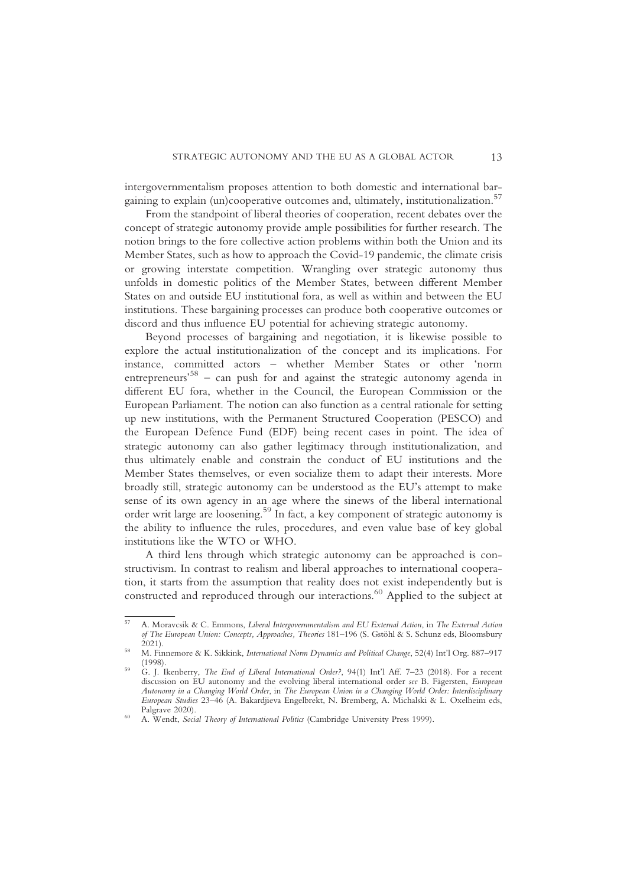intergovernmentalism proposes attention to both domestic and international bargaining to explain (un)cooperative outcomes and, ultimately, institutionalization.<sup>57</sup>

From the standpoint of liberal theories of cooperation, recent debates over the concept of strategic autonomy provide ample possibilities for further research. The notion brings to the fore collective action problems within both the Union and its Member States, such as how to approach the Covid-19 pandemic, the climate crisis or growing interstate competition. Wrangling over strategic autonomy thus unfolds in domestic politics of the Member States, between different Member States on and outside EU institutional fora, as well as within and between the EU institutions. These bargaining processes can produce both cooperative outcomes or discord and thus influence EU potential for achieving strategic autonomy.

Beyond processes of bargaining and negotiation, it is likewise possible to explore the actual institutionalization of the concept and its implications. For instance, committed actors – whether Member States or other 'norm entrepreneurs<sup>,58</sup> - can push for and against the strategic autonomy agenda in different EU fora, whether in the Council, the European Commission or the European Parliament. The notion can also function as a central rationale for setting up new institutions, with the Permanent Structured Cooperation (PESCO) and the European Defence Fund (EDF) being recent cases in point. The idea of strategic autonomy can also gather legitimacy through institutionalization, and thus ultimately enable and constrain the conduct of EU institutions and the Member States themselves, or even socialize them to adapt their interests. More broadly still, strategic autonomy can be understood as the EU's attempt to make sense of its own agency in an age where the sinews of the liberal international order writ large are loosening.59 In fact, a key component of strategic autonomy is the ability to influence the rules, procedures, and even value base of key global institutions like the WTO or WHO.

A third lens through which strategic autonomy can be approached is constructivism. In contrast to realism and liberal approaches to international cooperation, it starts from the assumption that reality does not exist independently but is constructed and reproduced through our interactions.<sup>60</sup> Applied to the subject at

<sup>57</sup> A. Moravcsik & C. Emmons, Liberal Intergovernmentalism and EU External Action, in The External Action of The European Union: Concepts, Approaches, Theories 181-196 (S. Gstöhl & S. Schunz eds, Bloomsbury 2021).

<sup>&</sup>lt;sup>58</sup> M. Finnemore & K. Sikkink, *International Norm Dynamics and Political Change*, 52(4) Int'l Org. 887–917<br>(1998).

<sup>&</sup>lt;sup>59</sup> G. J. Ikenberry, *The End of Liberal International Order?*, 94(1) Int'l Aff. 7–23 (2018). For a recent discussion on EU autonomy and the evolving liberal international order see B. Fägersten, European Autonomy in a Changing World Order, in The European Union in a Changing World Order: Interdisciplinary European Studies 23–46 (A. Bakardjieva Engelbrekt, N. Bremberg, A. Michalski & L. Oxelheim eds,

A. Wendt, Social Theory of International Politics (Cambridge University Press 1999).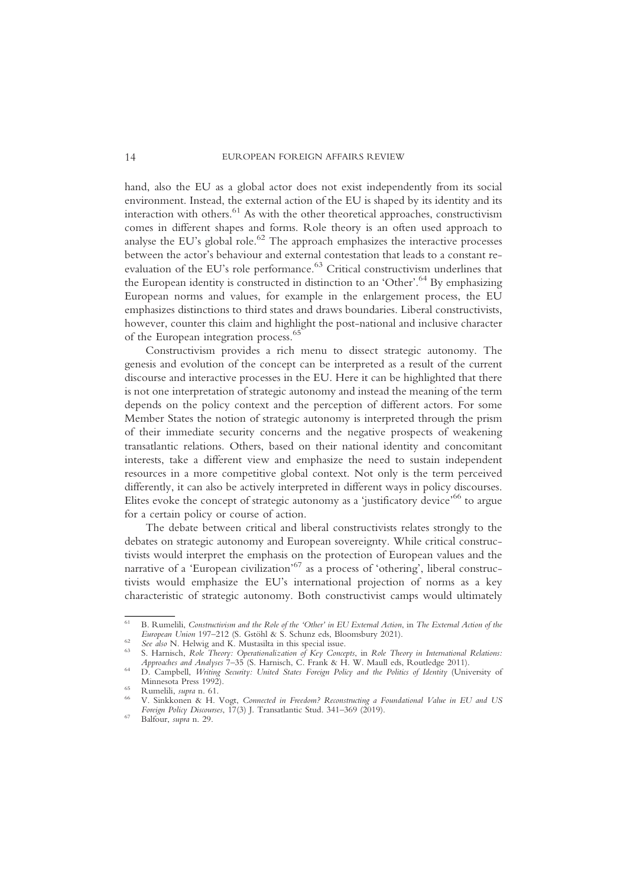hand, also the EU as a global actor does not exist independently from its social environment. Instead, the external action of the EU is shaped by its identity and its interaction with others.<sup>61</sup> As with the other theoretical approaches, constructivism comes in different shapes and forms. Role theory is an often used approach to analyse the EU's global role.<sup>62</sup> The approach emphasizes the interactive processes between the actor's behaviour and external contestation that leads to a constant reevaluation of the EU's role performance.<sup>63</sup> Critical constructivism underlines that the European identity is constructed in distinction to an 'Other'.<sup>64</sup> By emphasizing European norms and values, for example in the enlargement process, the EU emphasizes distinctions to third states and draws boundaries. Liberal constructivists, however, counter this claim and highlight the post-national and inclusive character of the European integration process.<sup>65</sup>

Constructivism provides a rich menu to dissect strategic autonomy. The genesis and evolution of the concept can be interpreted as a result of the current discourse and interactive processes in the EU. Here it can be highlighted that there is not one interpretation of strategic autonomy and instead the meaning of the term depends on the policy context and the perception of different actors. For some Member States the notion of strategic autonomy is interpreted through the prism of their immediate security concerns and the negative prospects of weakening transatlantic relations. Others, based on their national identity and concomitant interests, take a different view and emphasize the need to sustain independent resources in a more competitive global context. Not only is the term perceived differently, it can also be actively interpreted in different ways in policy discourses. Elites evoke the concept of strategic autonomy as a 'justificatory device'<sup>66</sup> to argue for a certain policy or course of action.

The debate between critical and liberal constructivists relates strongly to the debates on strategic autonomy and European sovereignty. While critical constructivists would interpret the emphasis on the protection of European values and the narrative of a 'European civilization'<sup>67</sup> as a process of 'othering', liberal constructivists would emphasize the EU's international projection of norms as a key characteristic of strategic autonomy. Both constructivist camps would ultimately

<sup>&</sup>lt;sup>61</sup> B. Rumelili, *Constructivism and the Role of the 'Other' in EU External Action*, in *The External Action of the European Union* 197–212 (S. Gstöhl & S. Schunz eds, Bloomsbury 2021).

<sup>&</sup>lt;sup>62</sup> See also N. Helwig and K. Mustasilta in this special issue.<br><sup>63</sup> S. Harnisch, *Role Theory: Operationalization of Key Concepts*, in *Role Theory in International Relations:*<br>*Approaches and Analyses* 7–35 (S. Harnisc

<sup>&</sup>lt;sup>64</sup> D. Campbell, *Writing Security: United States Foreign Policy and the Politics of Identity* (University of Minnesota Press 1992).

<sup>&</sup>lt;sup>65</sup> Rumelili, supra n. 61.<br><sup>66</sup> V. Sinkkonen & H. Vogt, *Connected in Freedom? Reconstructing a Foundational Value in EU and US* Foreign Policy Discourses,  $17(3)$  J. Transatlantic Stud. 341–369 (2019).<br><sup>67</sup> Balfour, *supra* n. 29.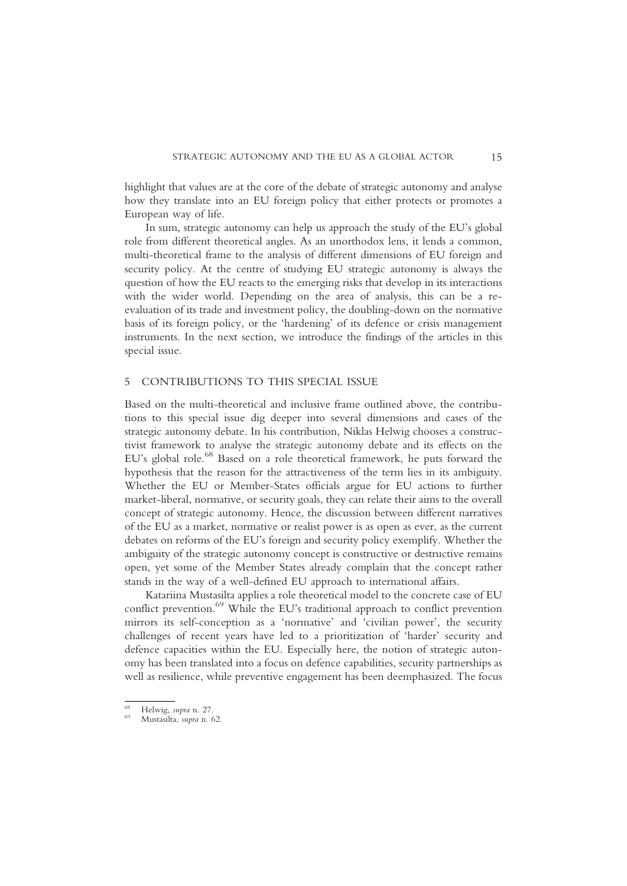highlight that values are at the core of the debate of strategic autonomy and analyse how they translate into an EU foreign policy that either protects or promotes a European way of life.

In sum, strategic autonomy can help us approach the study of the EU's global role from different theoretical angles. As an unorthodox lens, it lends a common, multi-theoretical frame to the analysis of different dimensions of EU foreign and security policy. At the centre of studying EU strategic autonomy is always the question of how the EU reacts to the emerging risks that develop in its interactions with the wider world. Depending on the area of analysis, this can be a reevaluation of its trade and investment policy, the doubling-down on the normative basis of its foreign policy, or the 'hardening' of its defence or crisis management instruments. In the next section, we introduce the findings of the articles in this special issue.

#### 5 CONTRIBUTIONS TO THIS SPECIAL ISSUE

Based on the multi-theoretical and inclusive frame outlined above, the contributions to this special issue dig deeper into several dimensions and cases of the strategic autonomy debate. In his contribution, Niklas Helwig chooses a constructivist framework to analyse the strategic autonomy debate and its effects on the EU's global role.<sup>68</sup> Based on a role theoretical framework, he puts forward the hypothesis that the reason for the attractiveness of the term lies in its ambiguity. Whether the EU or Member-States officials argue for EU actions to further market-liberal, normative, or security goals, they can relate their aims to the overall concept of strategic autonomy. Hence, the discussion between different narratives of the EU as a market, normative or realist power is as open as ever, as the current debates on reforms of the EU's foreign and security policy exemplify. Whether the ambiguity of the strategic autonomy concept is constructive or destructive remains open, yet some of the Member States already complain that the concept rather stands in the way of a well-defined EU approach to international affairs.

Katariina Mustasilta applies a role theoretical model to the concrete case of EU conflict prevention.<sup>69</sup> While the EU's traditional approach to conflict prevention mirrors its self-conception as a 'normative' and 'civilian power', the security challenges of recent years have led to a prioritization of 'harder' security and defence capacities within the EU. Especially here, the notion of strategic autonomy has been translated into a focus on defence capabilities, security partnerships as well as resilience, while preventive engagement has been deemphasized. The focus

<sup>68</sup> Helwig, supra n. 27. <sup>69</sup> Mustasilta, supra n. 62.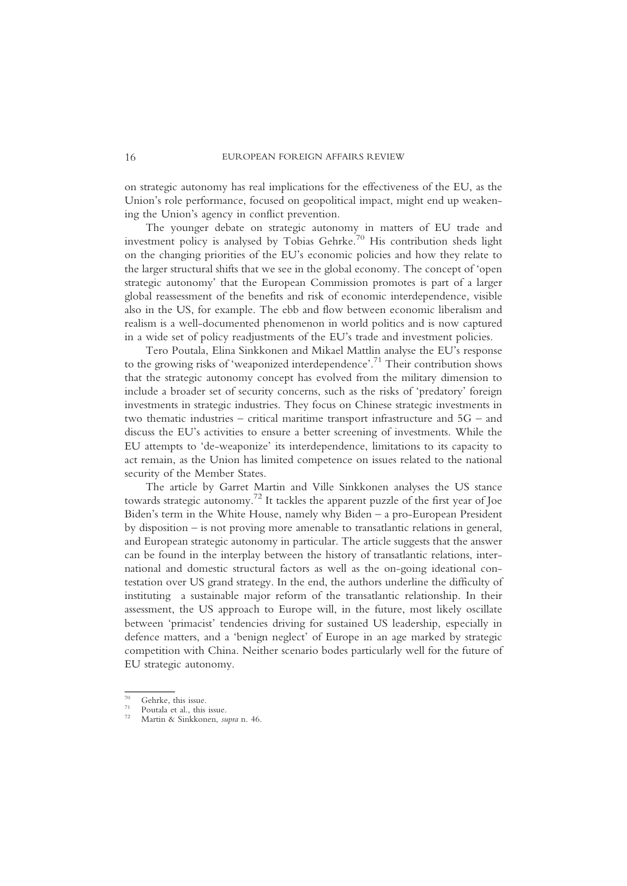on strategic autonomy has real implications for the effectiveness of the EU, as the Union's role performance, focused on geopolitical impact, might end up weakening the Union's agency in conflict prevention.

The younger debate on strategic autonomy in matters of EU trade and investment policy is analysed by Tobias Gehrke.<sup>70</sup> His contribution sheds light on the changing priorities of the EU's economic policies and how they relate to the larger structural shifts that we see in the global economy. The concept of 'open strategic autonomy' that the European Commission promotes is part of a larger global reassessment of the benefits and risk of economic interdependence, visible also in the US, for example. The ebb and flow between economic liberalism and realism is a well-documented phenomenon in world politics and is now captured in a wide set of policy readjustments of the EU's trade and investment policies.

Tero Poutala, Elina Sinkkonen and Mikael Mattlin analyse the EU's response to the growing risks of 'weaponized interdependence'. <sup>71</sup> Their contribution shows that the strategic autonomy concept has evolved from the military dimension to include a broader set of security concerns, such as the risks of 'predatory' foreign investments in strategic industries. They focus on Chinese strategic investments in two thematic industries – critical maritime transport infrastructure and 5G – and discuss the EU's activities to ensure a better screening of investments. While the EU attempts to 'de-weaponize' its interdependence, limitations to its capacity to act remain, as the Union has limited competence on issues related to the national security of the Member States.

The article by Garret Martin and Ville Sinkkonen analyses the US stance towards strategic autonomy.<sup>72</sup> It tackles the apparent puzzle of the first year of Joe Biden's term in the White House, namely why Biden – a pro-European President by disposition – is not proving more amenable to transatlantic relations in general, and European strategic autonomy in particular. The article suggests that the answer can be found in the interplay between the history of transatlantic relations, international and domestic structural factors as well as the on-going ideational contestation over US grand strategy. In the end, the authors underline the difficulty of instituting a sustainable major reform of the transatlantic relationship. In their assessment, the US approach to Europe will, in the future, most likely oscillate between 'primacist' tendencies driving for sustained US leadership, especially in defence matters, and a 'benign neglect' of Europe in an age marked by strategic competition with China. Neither scenario bodes particularly well for the future of EU strategic autonomy.

<sup>&</sup>lt;sup>70</sup> Gehrke, this issue.<br><sup>71</sup> Poutala et al., this issue.<br><sup>72</sup> Martin & Sinkkonen, *supra* n. 46.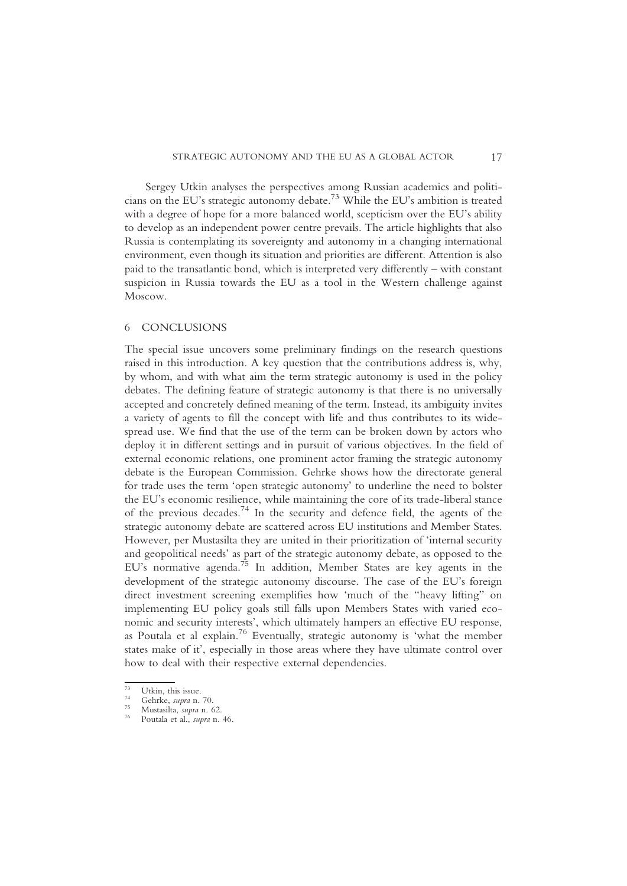Sergey Utkin analyses the perspectives among Russian academics and politicians on the EU's strategic autonomy debate.<sup>73</sup> While the EU's ambition is treated with a degree of hope for a more balanced world, scepticism over the EU's ability to develop as an independent power centre prevails. The article highlights that also Russia is contemplating its sovereignty and autonomy in a changing international environment, even though its situation and priorities are different. Attention is also paid to the transatlantic bond, which is interpreted very differently – with constant suspicion in Russia towards the EU as a tool in the Western challenge against Moscow.

#### 6 CONCLUSIONS

The special issue uncovers some preliminary findings on the research questions raised in this introduction. A key question that the contributions address is, why, by whom, and with what aim the term strategic autonomy is used in the policy debates. The defining feature of strategic autonomy is that there is no universally accepted and concretely defined meaning of the term. Instead, its ambiguity invites a variety of agents to fill the concept with life and thus contributes to its widespread use. We find that the use of the term can be broken down by actors who deploy it in different settings and in pursuit of various objectives. In the field of external economic relations, one prominent actor framing the strategic autonomy debate is the European Commission. Gehrke shows how the directorate general for trade uses the term 'open strategic autonomy' to underline the need to bolster the EU's economic resilience, while maintaining the core of its trade-liberal stance of the previous decades.<sup>74</sup> In the security and defence field, the agents of the strategic autonomy debate are scattered across EU institutions and Member States. However, per Mustasilta they are united in their prioritization of 'internal security and geopolitical needs' as part of the strategic autonomy debate, as opposed to the EU's normative agenda.75 In addition, Member States are key agents in the development of the strategic autonomy discourse. The case of the EU's foreign direct investment screening exemplifies how 'much of the "heavy lifting" on implementing EU policy goals still falls upon Members States with varied economic and security interests', which ultimately hampers an effective EU response, as Poutala et al explain.76 Eventually, strategic autonomy is 'what the member states make of it', especially in those areas where they have ultimate control over how to deal with their respective external dependencies.

<sup>73</sup> Utkin, this issue.<br>
74 Gehrke, *supra* n. 70.<br>
75 Mustasilta, *supra* n. 62.<br>
76 Poutala et al., *supra* n. 46.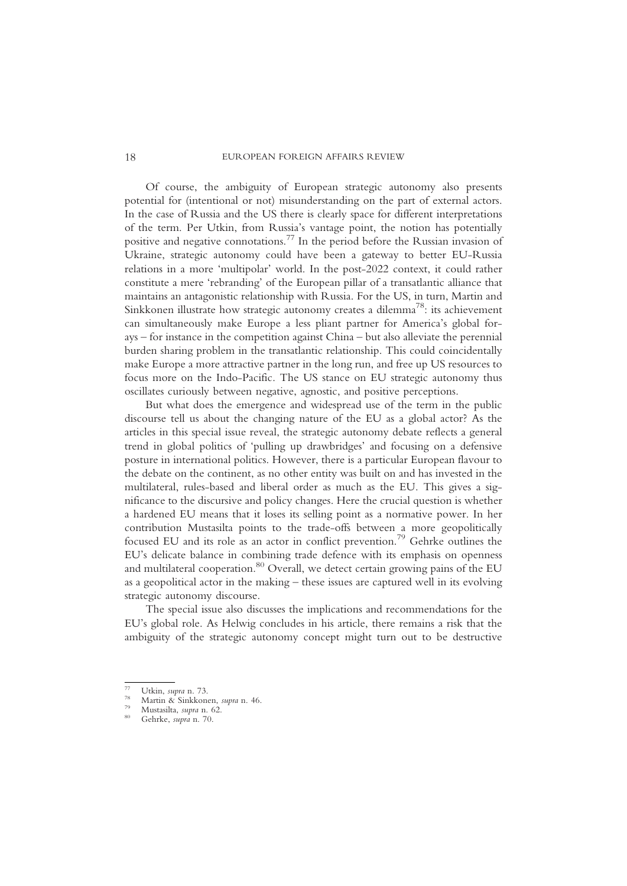Of course, the ambiguity of European strategic autonomy also presents potential for (intentional or not) misunderstanding on the part of external actors. In the case of Russia and the US there is clearly space for different interpretations of the term. Per Utkin, from Russia's vantage point, the notion has potentially positive and negative connotations.77 In the period before the Russian invasion of Ukraine, strategic autonomy could have been a gateway to better EU-Russia relations in a more 'multipolar' world. In the post-2022 context, it could rather constitute a mere 'rebranding' of the European pillar of a transatlantic alliance that maintains an antagonistic relationship with Russia. For the US, in turn, Martin and Sinkkonen illustrate how strategic autonomy creates a dilemma<sup>78</sup>: its achievement can simultaneously make Europe a less pliant partner for America's global forays – for instance in the competition against China – but also alleviate the perennial burden sharing problem in the transatlantic relationship. This could coincidentally make Europe a more attractive partner in the long run, and free up US resources to focus more on the Indo-Pacific. The US stance on EU strategic autonomy thus oscillates curiously between negative, agnostic, and positive perceptions.

But what does the emergence and widespread use of the term in the public discourse tell us about the changing nature of the EU as a global actor? As the articles in this special issue reveal, the strategic autonomy debate reflects a general trend in global politics of 'pulling up drawbridges' and focusing on a defensive posture in international politics. However, there is a particular European flavour to the debate on the continent, as no other entity was built on and has invested in the multilateral, rules-based and liberal order as much as the EU. This gives a significance to the discursive and policy changes. Here the crucial question is whether a hardened EU means that it loses its selling point as a normative power. In her contribution Mustasilta points to the trade-offs between a more geopolitically focused EU and its role as an actor in conflict prevention.<sup>79</sup> Gehrke outlines the EU's delicate balance in combining trade defence with its emphasis on openness and multilateral cooperation.<sup>80</sup> Overall, we detect certain growing pains of the EU as a geopolitical actor in the making – these issues are captured well in its evolving strategic autonomy discourse.

The special issue also discusses the implications and recommendations for the EU's global role. As Helwig concludes in his article, there remains a risk that the ambiguity of the strategic autonomy concept might turn out to be destructive

<sup>77</sup> Utkin, *supra* n. 73.<br><sup>78</sup> Martin & Sinkkonen, *supra* n. 46.<br><sup>79</sup> Mustasilta, *supra* n. 62.<br><sup>80</sup> Gehrke, *supra* n. 70.